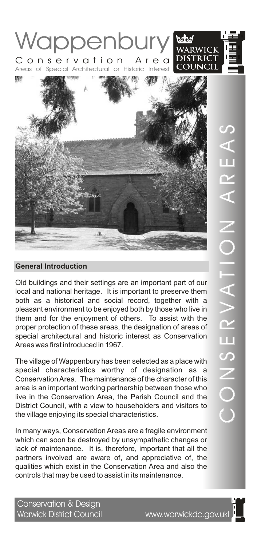

Old buildings and their settings are an important part of our local and national heritage. It is important to preserve them both as a historical and social record, together with a pleasant environment to be enjoyed both by those who live in them and for the enjoyment of others. To assist with the proper protection of these areas, the designation of areas of special architectural and historic interest as Conservation Areas was first introduced in 1967.

The village of Wappenbury has been selected as a place with special characteristics worthy of designation as a Conservation Area. The maintenance of the character of this area is an important working partnership between those who live in the Conservation Area, the Parish Council and the District Council, with a view to householders and visitors to the village enjoying its special characteristics.

In many ways, Conservation Areas are a fragile environment which can soon be destroyed by unsympathetic changes or lack of maintenance. It is, therefore, important that all the partners involved are aware of, and appreciative of, the qualities which exist in the Conservation Area and also the controls that may be used to assist in its maintenance.

Conservation & Design Warwick District Council www.warwickdc.gov.ukl

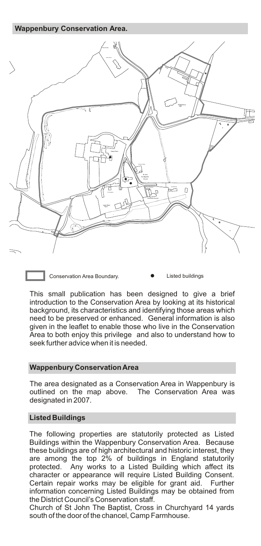**Wappenbury Conservation Area.**



Conservation Area Boundary. <br> **•** Listed buildings

This small publication has been designed to give a brief introduction to the Conservation Area by looking at its historical background, its characteristics and identifying those areas which need to be preserved or enhanced. General information is also given in the leaflet to enable those who live in the Conservation Area to both enjoy this privilege and also to understand how to seek further advice when it is needed.

# **Wappenbury Conservation Area**

The area designated as a Conservation Area in Wappenbury is outlined on the map above. The Conservation Area was designated in 2007.

# **Listed Buildings**

The following properties are statutorily protected as Listed Buildings within the Wappenbury Conservation Area. Because these buildings are of high architectural and historic interest, they are among the top 2% of buildings in England statutorily protected. Any works to a Listed Building which affect its character or appearance will require Listed Building Consent. Certain repair works may be eligible for grant aid. Further information concerning Listed Buildings may be obtained from the District Council's Conservation staff.

Church of St John The Baptist, Cross in Churchyard 14 yards south of the door of the chancel, Camp Farmhouse.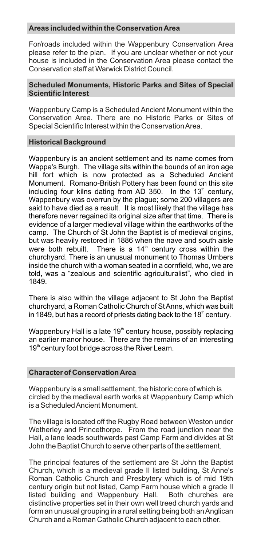## **Areas included within the Conservation Area**

For/roads included within the Wappenbury Conservation Area please refer to the plan. If you are unclear whether or not your house is included in the Conservation Area please contact the Conservation staff at Warwick District Council.

## **Scheduled Monuments, Historic Parks and Sites of Special Scientific Interest**

Wappenbury Camp is a Scheduled Ancient Monument within the Conservation Area. There are no Historic Parks or Sites of Special Scientific Interest within the Conservation Area.

# **Historical Background**

Wappenbury is an ancient settlement and its name comes from Wappa's Burgh. The village sits within the bounds of an iron age hill fort which is now protected as a Scheduled Ancient Monument. Romano-British Pottery has been found on this site including four kilns dating from AD 350. In the  $13<sup>th</sup>$  century, Wappenbury was overrun by the plague; some 200 villagers are said to have died as a result. It is most likely that the village has therefore never regained its original size after that time. There is evidence of a larger medieval village within the earthworks of the camp. The Church of St John the Baptist is of medieval origins, but was heavily restored in 1886 when the nave and south aisle were both rebuilt. There is a  $14<sup>th</sup>$  century cross within the churchyard. There is an unusual monument to Thomas Urnbers inside the church with a woman seated in a cornfield, who, we are told, was a "zealous and scientific agriculturalist", who died in 1849.

There is also within the village adjacent to St John the Baptist churchyard, a Roman Catholic Church of St Anns, which was built in 1849, but has a record of priests dating back to the 18 $^{\text{th}}$  century.

Wappenbury Hall is a late  $19<sup>th</sup>$  century house, possibly replacing an earlier manor house. There are the remains of an interesting  $19<sup>th</sup>$  century foot bridge across the River Leam.

# **Character of Conservation Area**

Wappenbury is a small settlement, the historic core of which is circled by the medieval earth works at Wappenbury Camp which is a Scheduled Ancient Monument.

The village is located off the Rugby Road between Weston under Wetherley and Princethorpe. From the road junction near the Hall, a lane leads southwards past Camp Farm and divides at St John the Baptist Church to serve other parts of the settlement.

The principal features of the settlement are St John the Baptist Church, which is a medieval grade II listed building, St Anne's Roman Catholic Church and Presbytery which is of mid 19th century origin but not listed, Camp Farm house which a grade II listed building and Wappenbury Hall. Both churches are distinctive properties set in their own well treed church yards and form an unusual grouping in a rural setting being both an Anglican Church and a Roman Catholic Church adjacent to each other.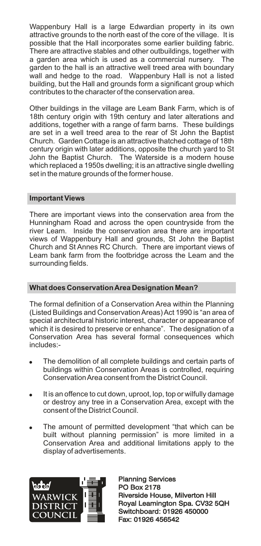Wappenbury Hall is a large Edwardian property in its own attractive grounds to the north east of the core of the village. It is possible that the Hall incorporates some earlier building fabric. There are attractive stables and other outbuildings, together with a garden area which is used as a commercial nursery. The garden to the hall is an attractive well treed area with boundary wall and hedge to the road. Wappenbury Hall is not a listed building, but the Hall and grounds form a significant group which contributes to the character of the conservation area.

Other buildings in the village are Leam Bank Farm, which is of 18th century origin with 19th century and later alterations and additions, together with a range of farm barns. These buildings are set in a well treed area to the rear of St John the Baptist Church. Garden Cottage is an attractive thatched cottage of 18th century origin with later additions, opposite the church yard to St John the Baptist Church. The Waterside is a modern house which replaced a 1950s dwelling; it is an attractive single dwelling set in the mature grounds of the former house.

# **Important Views**

There are important views into the conservation area from the Hunningham Road and across the open countryside from the river Leam. Inside the conservation area there are important views of Wappenbury Hall and grounds, St John the Baptist Church and St Annes RC Church. There are important views of Leam bank farm from the footbridge across the Leam and the surrounding fields.

# **What does Conservation Area Designation Mean?**

The formal definition of a Conservation Area within the Planning (Listed Buildings and Conservation Areas) Act 1990 is "an area of special architectural historic interest, character or appearance of which it is desired to preserve or enhance". The designation of a Conservation Area has several formal consequences which includes:-

- The demolition of all complete buildings and certain parts of buildings within Conservation Areas is controlled, requiring Conservation Area consent from the District Council.
- . It is an offence to cut down, uproot, lop, top or wilfully damage or destroy any tree in a Conservation Area, except with the consent of the District Council.
- . The amount of permitted development "that which can be built without planning permission" is more limited in a Conservation Area and additional limitations apply to the display of advertisements.



Planning Services PO Box 2178 Planning Services<br>PO Box 2178<br>Riverside House, Milverton Hill Royal Leamington Spa. CV32 5QH Switchboard: 01926 450000 Fax: 01926 456542 Royal Leamington Spa. CV32<br>Switchboard: 01926 450000<br>Fax: 01926 456542